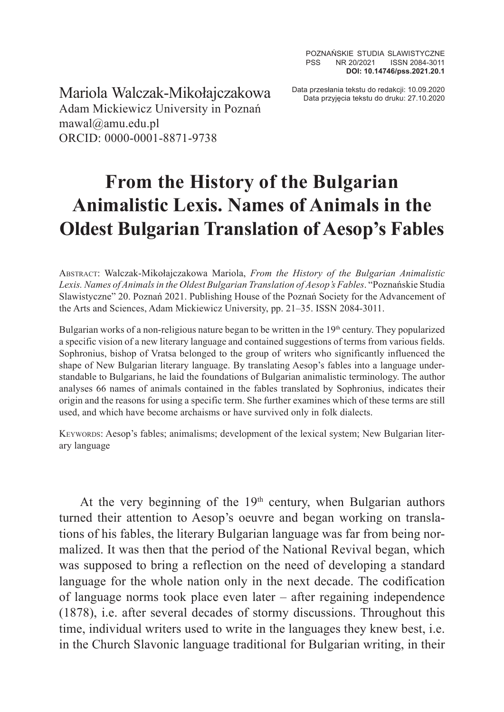Data przesłania tekstu do redakcji: 10.09.2020 Mariola Walczak-Mikołajczakowa Data przyjęcia tekstu do druku: 27.10.2020 Adam Mickiewicz University in Poznań mawal@amu.edu.pl ORCID: 0000-0001-8871-9738

## **From the History of the Bulgarian Animalistic Lexis. Names of Animals in the Oldest Bulgarian Translation of Aesop's Fables**

Abstract: Walczak-Mikołajczakowa Mariola, *From the History of the Bulgarian Animalistic Lexis. Names of Animals in the Oldest Bulgarian Translation of Aesop's Fables*. "Poznańskie Studia Slawistyczne" 20. Poznań 2021. Publishing House of the Poznań Society for the Advancement of the Arts and Sciences, Adam Mickiewicz University, pp. 21–35. ISSN 2084-3011.

Bulgarian works of a non-religious nature began to be written in the 19<sup>th</sup> century. They popularized a specific vision of a new literary language and contained suggestions of terms from various fields. Sophronius, bishop of Vratsa belonged to the group of writers who significantly influenced the shape of New Bulgarian literary language. By translating Aesop's fables into a language understandable to Bulgarians, he laid the foundations of Bulgarian animalistic terminology. The author analyses 66 names of animals contained in the fables translated by Sophronius, indicates their origin and the reasons for using a specific term. She further examines which of these terms are still used, and which have become archaisms or have survived only in folk dialects.

Keywords: Aesop's fables; animalisms; development of the lexical system; New Bulgarian literary language

At the very beginning of the  $19<sup>th</sup>$  century, when Bulgarian authors turned their attention to Aesop's oeuvre and began working on translations of his fables, the literary Bulgarian language was far from being normalized. It was then that the period of the National Revival began, which was supposed to bring a reflection on the need of developing a standard language for the whole nation only in the next decade. The codification of language norms took place even later – after regaining independence (1878), i.e. after several decades of stormy discussions. Throughout this time, individual writers used to write in the languages they knew best, i.e. in the Church Slavonic language traditional for Bulgarian writing, in their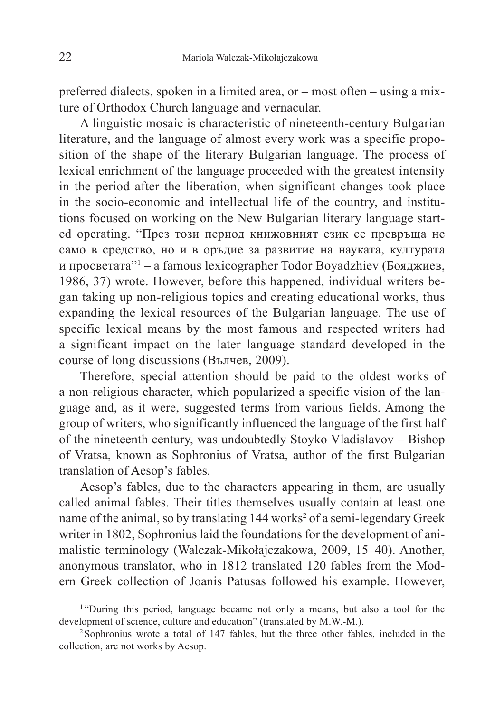preferred dialects, spoken in a limited area, or – most often – using a mixture of Orthodox Church language and vernacular.

A linguistic mosaic is characteristic of nineteenth-century Bulgarian literature, and the language of almost every work was a specific proposition of the shape of the literary Bulgarian language. The process of lexical enrichment of the language proceeded with the greatest intensity in the period after the liberation, when significant changes took place in the socio-economic and intellectual life of the country, and institutions focused on working on the New Bulgarian literary language started operating. "През този период книжовният език се превръща не само в средство, но и в оръдие за развитие на науката, културата и просветата"<sup>1</sup> – a famous lexicographer Todor Boyadzhiev (Бояджиев, 1986, 37) wrote. However, before this happened, individual writers began taking up non-religious topics and creating educational works, thus expanding the lexical resources of the Bulgarian language. The use of specific lexical means by the most famous and respected writers had a significant impact on the later language standard developed in the course of long discussions (Вълчев, 2009).

Therefore, special attention should be paid to the oldest works of a non-religious character, which popularized a specific vision of the language and, as it were, suggested terms from various fields. Among the group of writers, who significantly influenced the language of the first half of the nineteenth century, was undoubtedly Stoyko Vladislavov – Bishop of Vratsa, known as Sophronius of Vratsa, author of the first Bulgarian translation of Aesop's fables.

Aesop's fables, due to the characters appearing in them, are usually called animal fables. Their titles themselves usually contain at least one name of the animal, so by translating 144 works<sup>2</sup> of a semi-legendary Greek writer in 1802, Sophronius laid the foundations for the development of animalistic terminology (Walczak-Mikołajczakowa, 2009, 15–40). Another, anonymous translator, who in 1812 translated 120 fables from the Modern Greek collection of Joanis Patusas followed his example. However,

<sup>&</sup>lt;sup>1</sup> "During this period, language became not only a means, but also a tool for the development of science, culture and education" (translated by M.W.-M.).

<sup>2</sup>Sophronius wrote a total of 147 fables, but the three other fables, included in the collection, are not works by Aesop.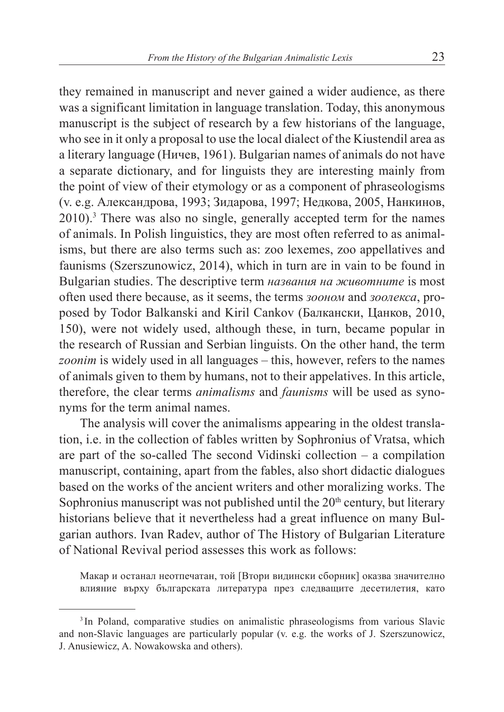they remained in manuscript and never gained a wider audience, as there was a significant limitation in language translation. Today, this anonymous manuscript is the subject of research by a few historians of the language, who see in it only a proposal to use the local dialect of the Kiustendil area as a literary language (Ничев, 1961). Bulgarian names of animals do not have a separate dictionary, and for linguists they are interesting mainly from the point of view of their etymology or as a component of phraseologisms (v. e.g. Александрова, 1993; Зидарова, 1997; Недкова, 2005, Нанкинов, 2010).<sup>3</sup> There was also no single, generally accepted term for the names of animals. In Polish linguistics, they are most often referred to as animalisms, but there are also terms such as: zoo lexemes, zoo appellatives and faunisms (Szerszunowicz, 2014), which in turn are in vain to be found in Bulgarian studies. The descriptive term *названия на животните* is most often used there because, as it seems, the terms *зооном* and *зоолекса*, proposed by Todor Balkanski and Kiril Cankov (Балкански, Цанков, 2010, 150), were not widely used, although these, in turn, became popular in the research of Russian and Serbian linguists. On the other hand, the term *zoonim* is widely used in all languages – this, however, refers to the names of animals given to them by humans, not to their appelatives. In this article, therefore, the clear terms *animalisms* and *faunisms* will be used as synonyms for the term animal names.

The analysis will cover the animalisms appearing in the oldest translation, i.e. in the collection of fables written by Sophronius of Vratsa, which are part of the so-called The second Vidinski collection – a compilation manuscript, containing, apart from the fables, also short didactic dialogues based on the works of the ancient writers and other moralizing works. The Sophronius manuscript was not published until the  $20<sup>th</sup>$  century, but literary historians believe that it nevertheless had a great influence on many Bulgarian authors. Ivan Radev, author of The History of Bulgarian Literature of National Revival period assesses this work as follows:

Макар и останал неотпечатан, той [Втори видински сборник] оказва значително влияние върху българската литература през следващите десетилетия, като

<sup>&</sup>lt;sup>3</sup> In Poland, comparative studies on animalistic phraseologisms from various Slavic and non-Slavic languages are particularly popular (v. e.g. the works of J. Szerszunowicz, J. Anusiewicz, A. Nowakowska and others).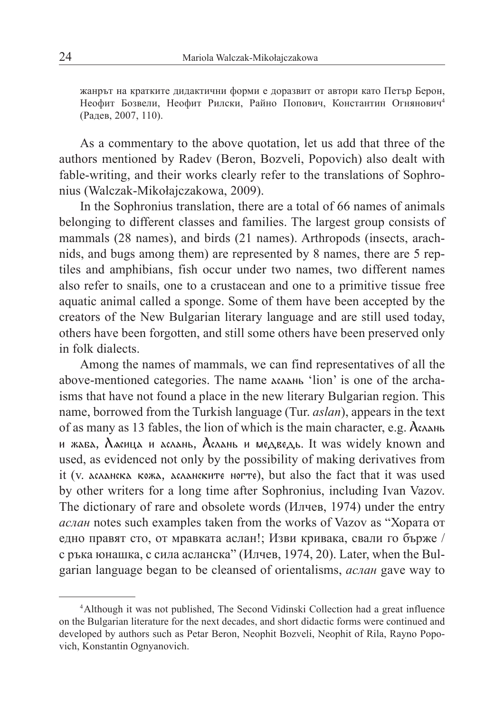жанрът на кратките дидактични форми е доразвит от автори като Петър Берон, Неофит Бозвели, Неофит Рилски, Райно Попович, Константин Огнянович4 (Радев, 2007, 110).

As a commentary to the above quotation, let us add that three of the authors mentioned by Radev (Beron, Bozveli, Popovich) also dealt with fable-writing, and their works clearly refer to the translations of Sophronius (Walczak-Mikołajczakowa, 2009).

In the Sophronius translation, there are a total of 66 names of animals belonging to different classes and families. The largest group consists of mammals (28 names), and birds (21 names). Arthropods (insects, arachnids, and bugs among them) are represented by 8 names, there are 5 reptiles and amphibians, fish occur under two names, two different names also refer to snails, one to a crustacean and one to a primitive tissue free aquatic animal called a sponge. Some of them have been accepted by the creators of the New Bulgarian literary language and are still used today, others have been forgotten, and still some others have been preserved only in folk dialects.

Among the names of mammals, we can find representatives of all the above-mentioned categories. The name аслань 'lion' is one of the archaisms that have not found a place in the new literary Bulgarian region. This name, borrowed from the Turkish language (Tur. *aslan*), appears in the text of as many as 13 fables, the lion of which is the main character, e.g. Аслань и жаба, Л сица и аслань, Аслань и медведь. It was widely known and used, as evidenced not only by the possibility of making derivatives from it (v. асланска кожа, асланските ногте), but also the fact that it was used by other writers for a long time after Sophronius, including Ivan Vazov. The dictionary of rare and obsolete words (Илчев, 1974) under the entry *аслан* notes such examples taken from the works of Vazov as "Хората от едно правят сто, от мравката аслан!; Изви кривака, свали го бърже / с ръка юнашка, с сила асланска" (Илчев, 1974, 20). Later, when the Bulgarian language began to be cleansed of orientalisms, *аслан* gave way to

<sup>4</sup>Although it was not published, The Second Vidinski Collection had a great influence on the Bulgarian literature for the next decades, and short didactic forms were continued and developed by authors such as Petar Beron, Neophit Bozveli, Neophit of Rila, Rayno Popovich, Konstantin Ognyanovich.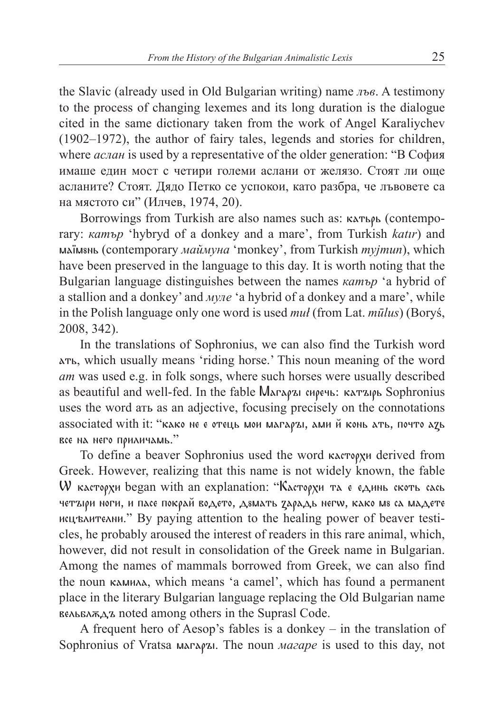the Slavic (already used in Old Bulgarian writing) name *лъв*. A testimony to the process of changing lexemes and its long duration is the dialogue cited in the same dictionary taken from the work of Angel Karaliychev (1902–1972), the author of fairy tales, legends and stories for children, where *аслан* is used by a representative of the older generation: "В София имаше един мост с четири големи аслани от желязо. Стоят ли още асланите? Стоят. Дядо Петко се успокои, като разбра, че лъвовете са на мястото си" (Илчев, 1974, 20).

Borrowings from Turkish are also names such as: катьрь (contemporary: *катър* 'hybryd of a donkey and a mare', from Turkish *katır*) and маїмвнь (contemporary маймуна 'monkey', from Turkish *myjmun*), which have been preserved in the language to this day. It is worth noting that the Bulgarian language distinguishes between the names *катър* 'a hybrid of a stallion and a donkey' and *муле* 'a hybrid of a donkey and a mare', while in the Polish language only one word is used *muł* (from Lat. *mūlus*) (Boryś, 2008, 342).

In the translations of Sophronius, we can also find the Turkish word ать, which usually means 'riding horse.' This noun meaning of the word *ат* was used e.g. in folk songs, where such horses were usually described as beautiful and well-fed. In the fable Магары сиречь: катырь Sophronius uses the word ать as an adjective, focusing precisely on the connotations associated with it: "како не е отець мои магаръі, ами й конь ать, почто адь все на него приличамь."

To define a beaver Sophronius used the word касторхи derived from Greek. However, realizing that this name is not widely known, the fable W касторхи began with an explanation: "Касторхи та е единь скоть сась четъюри ноги, и пасе покрай водето, дзмать зарадь негw, како мз са мадете исцэлителни." By paying attention to the healing power of beaver testicles, he probably aroused the interest of readers in this rare animal, which, however, did not result in consolidation of the Greek name in Bulgarian. Among the names of mammals borrowed from Greek, we can also find the noun камила, which means 'a camel', which has found a permanent place in the literary Bulgarian language replacing the Old Bulgarian name вельвлжда noted among others in the Suprasl Code.

A frequent hero of Aesop's fables is a donkey – in the translation of Sophronius of Vratsa магары. The noun *магаре* is used to this day, not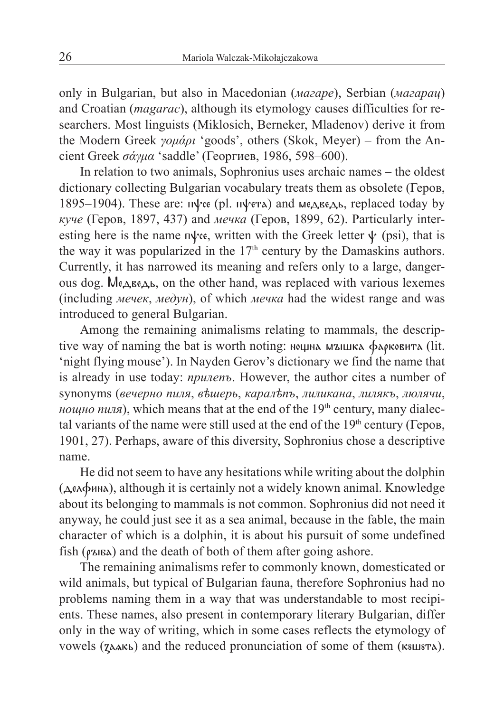only in Bulgarian, but also in Macedonian (*магаре*), Serbian (*магарац*) and Croatian (*magarac*), although its etymology causes difficulties for researchers. Most linguists (Miklosich, Berneker, Mladenov) derive it from the Modern Greek *γομάρι* 'goods', others (Skok, Meyer) – from the Ancient Greek *σάγμα* 'saddle' (Георгиев, 1986, 598–600).

In relation to two animals, Sophronius uses archaic names – the oldest dictionary collecting Bulgarian vocabulary treats them as obsolete (Геров, 1895–1904). These are: п $\psi$ се (pl. п $\psi$ ета) and медведь, replaced today by *куче* (Геров, 1897, 437) and *мечка* (Геров, 1899, 62). Particularly interesting here is the name  $n\psi$ ce, written with the Greek letter  $\psi$  (psi), that is the way it was popularized in the 17<sup>th</sup> century by the Damaskins authors. Currently, it has narrowed its meaning and refers only to a large, dangerous dog. Медведь, on the other hand, was replaced with various lexemes (including *мечек*, *медун*), of which *мечка* had the widest range and was introduced to general Bulgarian.

Among the remaining animalisms relating to mammals, the descriptive way of naming the bat is worth noting: нешна мышка фарковита (lit. 'night flying mouse'). In Nayden Gerov's dictionary we find the name that is already in use today: *прилепъ*. However, the author cites a number of synonyms (*вечерно пиля*, *вѣшерь*, *каралѣпъ*, *лиликана*, *лилякъ*, *люлячи*, *нощно пиля*), which means that at the end of the 19<sup>th</sup> century, many dialectal variants of the name were still used at the end of the  $19<sup>th</sup>$  century (Геров, 1901, 27). Perhaps, aware of this diversity, Sophronius chose a descriptive name.

He did not seem to have any hesitations while writing about the dolphin (делфина), although it is certainly not a widely known animal. Knowledge about its belonging to mammals is not common. Sophronius did not need it anyway, he could just see it as a sea animal, because in the fable, the main character of which is a dolphin, it is about his pursuit of some undefined fish ( $\varphi$ ыба) and the death of both of them after going ashore.

The remaining animalisms refer to commonly known, domesticated or wild animals, but typical of Bulgarian fauna, therefore Sophronius had no problems naming them in a way that was understandable to most recipients. These names, also present in contemporary literary Bulgarian, differ only in the way of writing, which in some cases reflects the etymology of vowels (*z*дакь) and the reduced pronunciation of some of them (квшвта).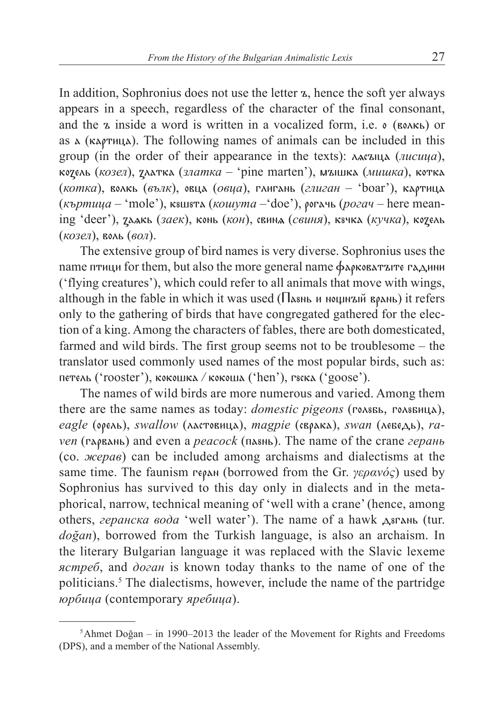In addition, Sophronius does not use the letter ъ, hence the soft yer always appears in a speech, regardless of the character of the final consonant, and the ъ inside a word is written in a vocalized form, i.e. о (волкь) or as а (картица). The following names of animals can be included in this group (in the order of their appearance in the texts): ласъща (*лисица*), козель (*козел*), златка (*златка* – 'pine marten'), мышка (*мишка*), котка (*котка*), волкь (*вълк*), овца (*овца*), глигань (*глиган* – 'boar'), картица (*къртица –* 'mole'), кушута (*кошута –*'doe'), рогачь (*рогач –* here meaning 'deer'), за кь (*заек*), конь (*кон*), свин (*свиня*), кучка (*кучка*), козель (*козел*), воль (*вол*).

The extensive group of bird names is very diverse. Sophronius uses the name птици for them, but also the more general name фарковатъте гадини ('flying creatures'), which could refer to all animals that move with wings, although in the fable in which it was used ( $\prod$   $\lambda$ 8Nb и ношнънй врань) it refers only to the gathering of birds that have congregated gathered for the election of a king. Among the characters of fables, there are both domesticated, farmed and wild birds. The first group seems not to be troublesome – the translator used commonly used names of the most popular birds, such as: петель ('rooster'), кокошка */* кокоша ('hen'), гуска ('goose').

The names of wild birds are more numerous and varied. Among them there are the same names as today: *domestic pigeons* (голявь, голявица), *eagle* (орель), *swallow* (ластовица), *magpie* (сврака), *swan* (лебедь), *raven* (гарвань) and even a *peacock* (паунь). The name of the crane *герань* (co. *жерав*) can be included among archaisms and dialectisms at the same time. The faunism геран (borrowed from the Gr. *γερανός*) used by Sophronius has survived to this day only in dialects and in the metaphorical, narrow, technical meaning of 'well with a crane' (hence, among others, *геранска вода* 'well water'). The name of a hawk д<sub>8</sub>гань (tur. *doğan*), borrowed from the Turkish language, is also an archaism. In the literary Bulgarian language it was replaced with the Slavic lexeme *ястреб*, and *доган* is known today thanks to the name of one of the politicians.<sup>5</sup> The dialectisms, however, include the name of the partridge *юрбица* (contemporary *яребица*).

<sup>5</sup>Ahmet Doğan – in 1990–2013 the leader of the Movement for Rights and Freedoms (DPS), and a member of the National Assembly.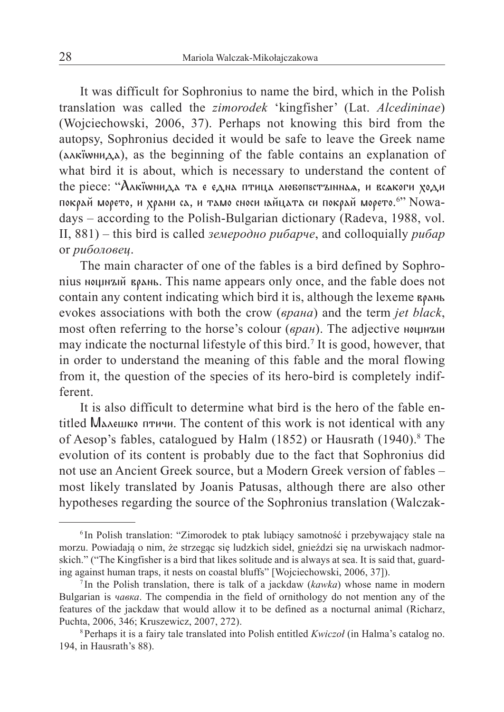It was difficult for Sophronius to name the bird, which in the Polish translation was called the *zimorodek* 'kingfisher' (Lat. *Alcedininae*) (Wojciechowski, 2006, 37). Perhaps not knowing this bird from the autopsy, Sophronius decided it would be safe to leave the Greek name (алк∙wнида), as the beginning of the fable contains an explanation of what bird it is about, which is necessary to understand the content of the piece: "Алкїwнида та є една птица любопвстъннна , и всакоги ходи покрай морето, и храни са, и тамо сноси њйцата си покрай морето.<sup>6</sup>'' Nowadays – according to the Polish-Bulgarian dictionary (Radeva, 1988, vol. II, 881) – this bird is called *земеродно рибарче*, and colloquially *рибар* or *риболовец*.

The main character of one of the fables is a bird defined by Sophronius ношный врань. This name appears only once, and the fable does not contain any content indicating which bird it is, although the lexeme врань evokes associations with both the crow (*врана*) and the term *jet black*, most often referring to the horse's colour (*вран*). The adjective ношный may indicate the nocturnal lifestyle of this bird.<sup>7</sup> It is good, however, that in order to understand the meaning of this fable and the moral flowing from it, the question of the species of its hero-bird is completely indifferent.

It is also difficult to determine what bird is the hero of the fable entitled Малешко птичи. The content of this work is not identical with any of Aesop's fables, catalogued by Halm (1852) or Hausrath (1940).<sup>8</sup> The evolution of its content is probably due to the fact that Sophronius did not use an Ancient Greek source, but a Modern Greek version of fables – most likely translated by Joanis Patusas, although there are also other hypotheses regarding the source of the Sophronius translation (Walczak-

<sup>6</sup> In Polish translation: "Zimorodek to ptak lubiący samotność i przebywający stale na morzu. Powiadają o nim, że strzegąc się ludzkich sideł, gnieździ się na urwiskach nadmorskich." ("The Kingfisher is a bird that likes solitude and is always at sea. It is said that, guarding against human traps, it nests on coastal bluffs" [Wojciechowski, 2006, 37]).

<sup>7</sup> In the Polish translation, there is talk of a jackdaw (*kawka*) whose name in modern Bulgarian is *чавка*. The compendia in the field of ornithology do not mention any of the features of the jackdaw that would allow it to be defined as a nocturnal animal (Richarz, Puchta, 2006, 346; Kruszewicz, 2007, 272).

<sup>8</sup>Perhaps it is a fairy tale translated into Polish entitled *Kwiczoł* (in Halma's catalog no. 194, in Hausrath's 88).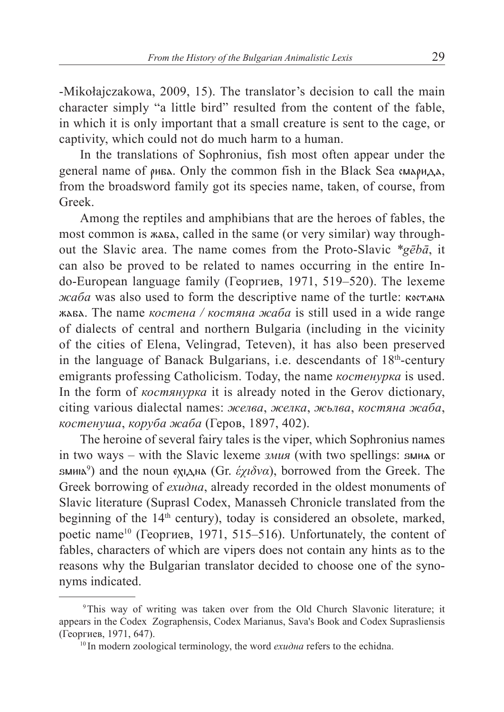-Mikołajczakowa, 2009, 15). The translator's decision to call the main character simply "a little bird" resulted from the content of the fable, in which it is only important that a small creature is sent to the cage, or captivity, which could not do much harm to a human.

In the translations of Sophronius, fish most often appear under the general name of  $\rho$ иба. Only the common fish in the Black Sea смарида, from the broadsword family got its species name, taken, of course, from Greek.

Among the reptiles and amphibians that are the heroes of fables, the most common is жаба, called in the same (or very similar) way throughout the Slavic area. The name comes from the Proto-Slavic *\*gēbā*, it can also be proved to be related to names occurring in the entire Indo-European language family (Георгиев, 1971, 519–520). The lexeme *жаба* was also used to form the descriptive name of the turtle: костана жаба. The name *костена / костяна жаба* is still used in a wide range of dialects of central and northern Bulgaria (including in the vicinity of the cities of Elena, Velingrad, Teteven), it has also been preserved in the language of Banack Bulgarians, i.e. descendants of  $18<sup>th</sup>$ -century emigrants professing Catholicism. Today, the name *костенурка* is used. In the form of *костянурка* it is already noted in the Gerov dictionary, citing various dialectal names: *желва*, *желка*, *жьлва*, *костяна жаба*, *костенуша*, *коруба жаба* (Геров, 1897, 402).

The heroine of several fairy tales is the viper, which Sophronius names in two ways – with the Slavic lexeme *змия* (with two spellings: *змил* or sмињ<sup>9</sup>) and the noun ех1дна (Gr. *έχιδνα*), borrowed from the Greek. The Greek borrowing of *ехидна*, already recorded in the oldest monuments of Slavic literature (Suprasl Codex, Manasseh Chronicle translated from the beginning of the  $14<sup>th</sup>$  century), today is considered an obsolete, marked, poetic name<sup>10</sup> (Георгиев, 1971, 515–516). Unfortunately, the content of fables, characters of which are vipers does not contain any hints as to the reasons why the Bulgarian translator decided to choose one of the synonyms indicated.

<sup>9</sup>This way of writing was taken over from the Old Church Slavonic literature; it appears in the Codex Zographensis, Codex Marianus, Sava's Book and Codex Suprasliensis (Георгиев, 1971, 647).

<sup>&</sup>lt;sup>10</sup> In modern zoological terminology, the word *ехидна* refers to the echidna.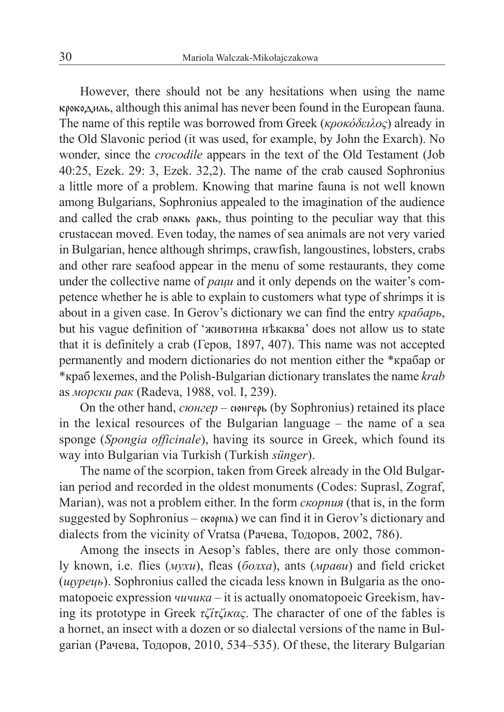However, there should not be any hesitations when using the name крокодиль, although this animal has never been found in the European fauna. The name of this reptile was borrowed from Greek (*κροκόδειλος*) already in the Old Slavonic period (it was used, for example, by John the Exarch). No wonder, since the *crocodile* appears in the text of the Old Testament (Job 40:25, Ezek. 29: 3, Ezek. 32,2). The name of the crab caused Sophronius a little more of a problem. Knowing that marine fauna is not well known among Bulgarians, Sophronius appealed to the imagination of the audience and called the crab опакь ракь, thus pointing to the peculiar way that this crustacean moved. Even today, the names of sea animals are not very varied in Bulgarian, hence although shrimps, crawfish, langoustines, lobsters, crabs and other rare seafood appear in the menu of some restaurants, they come under the collective name of *раци* and it only depends on the waiter's competence whether he is able to explain to customers what type of shrimps it is about in a given case. In Gerov's dictionary we can find the entry *крабарь*, but his vague definition of 'животина нѣкаква' does not allow us to state that it is definitely a crab (Геров, 1897, 407). This name was not accepted permanently and modern dictionaries do not mention either the \*крабар or \*краб lexemes, and the Polish-Bulgarian dictionary translates the name *krab* as *морски рак* (Radeva, 1988, vol. I, 239).

On the other hand, *сюнгер –* сюнгерь (by Sophronius) retained its place in the lexical resources of the Bulgarian language – the name of a sea sponge (*Spongia officinale*), having its source in Greek, which found its way into Bulgarian via Turkish (Turkish *sünger*).

The name of the scorpion, taken from Greek already in the Old Bulgarian period and recorded in the oldest monuments (Codes: Suprasl, Zograf, Marian), was not a problem either. In the form *скорпия* (that is, in the form suggested by Sophronius –  $\alpha$ ,  $\alpha$  we can find it in Gerov's dictionary and dialects from the vicinity of Vratsa (Рачева, Тодоров, 2002, 786).

Among the insects in Aesop's fables, there are only those commonly known, i.e. flies (*мухи*), fleas (*болха*), ants (*мрави*) and field cricket (*щурець*). Sophronius called the cicada less known in Bulgaria as the onomatopoeic expression *чичика* – it is actually onomatopoeic Greekism, having its prototype in Greek *τζίτζικας*. The character of one of the fables is a hornet, an insect with a dozen or so dialectal versions of the name in Bulgarian (Рачева, Тодоров, 2010, 534–535). Of these, the literary Bulgarian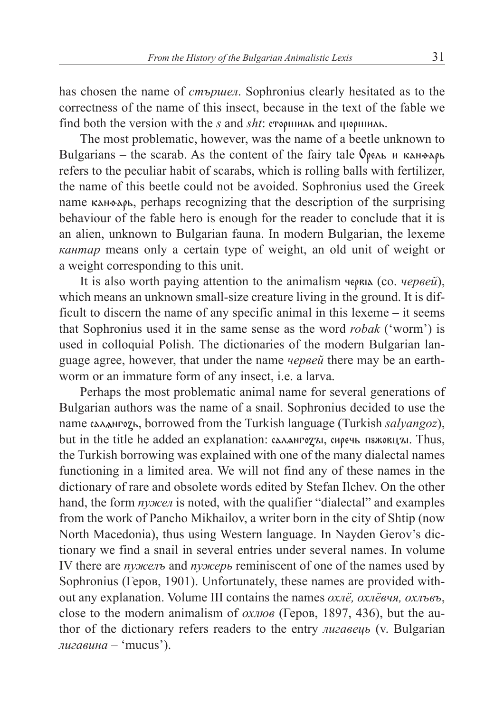has chosen the name of *стършел*. Sophronius clearly hesitated as to the correctness of the name of this insect, because in the text of the fable we find both the version with the *s* and *sht*: сторшиль and щоршиль.

The most problematic, however, was the name of a beetle unknown to Bulgarians – the scarab. As the content of the fairy tale  $\mathcal{O}_{\rho e \wedge \mathbf{b}}$  и канфарь refers to the peculiar habit of scarabs, which is rolling balls with fertilizer, the name of this beetle could not be avoided. Sophronius used the Greek name кан»арь, perhaps recognizing that the description of the surprising behaviour of the fable hero is enough for the reader to conclude that it is an alien, unknown to Bulgarian fauna. In modern Bulgarian, the lexeme *кантар* means only a certain type of weight, an old unit of weight or a weight corresponding to this unit.

It is also worth paying attention to the animalism червіга (со. *червей*), which means an unknown small-size creature living in the ground. It is difficult to discern the name of any specific animal in this lexeme – it seems that Sophronius used it in the same sense as the word *robak* ('worm') is used in colloquial Polish. The dictionaries of the modern Bulgarian language agree, however, that under the name *червей* there may be an earthworm or an immature form of any insect, i.e. a larva.

Perhaps the most problematic animal name for several generations of Bulgarian authors was the name of a snail. Sophronius decided to use the name сал нгозь, borrowed from the Turkish language (Turkish *salyangoz*), but in the title he added an explanation: сал ангота, сиречь пзжовции. Thus, the Turkish borrowing was explained with one of the many dialectal names functioning in a limited area. We will not find any of these names in the dictionary of rare and obsolete words edited by Stefan Ilchev. On the other hand, the form *пужел* is noted, with the qualifier "dialectal" and examples from the work of Pancho Mikhailov, a writer born in the city of Shtip (now North Macedonia), thus using Western language. In Nayden Gerov's dictionary we find a snail in several entries under several names. In volume IV there are *пужелъ* and *пужерь* reminiscent of one of the names used by Sophronius (Геров, 1901). Unfortunately, these names are provided without any explanation. Volume III contains the names *охлё, охлёвчя, охлъвъ*, close to the modern animalism of *охлюв* (Геров, 1897, 436), but the author of the dictionary refers readers to the entry *лигавець* (v. Bulgarian *лигавина* – 'mucus').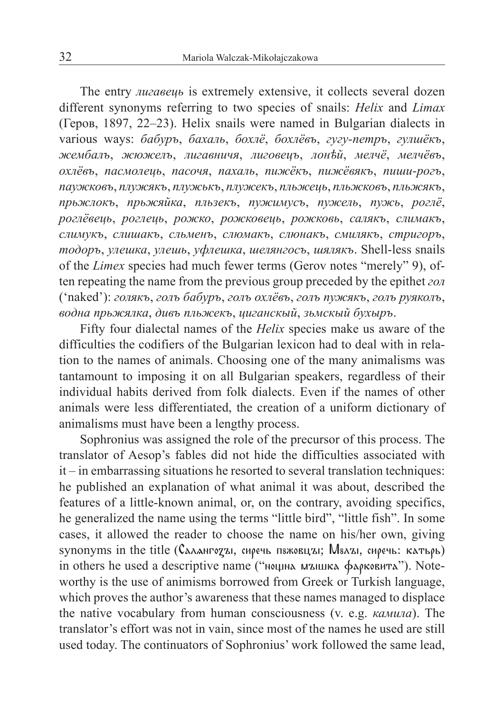The entry *лигавець* is extremely extensive, it collects several dozen different synonyms referring to two species of snails: *Helix* and *Limax* (Геров, 1897, 22–23). Helix snails were named in Bulgarian dialects in various ways: *бабуръ*, *бахаль*, *бохлё*, *бохлёвъ*, *гугу-петръ*, *гулшёкъ*, *жембалъ*, *жюжелъ*, *лигавничя*, *лиговецъ*, *лонѣй*, *мелчё*, *мелчёвъ*, *охлёвъ*, *пасмолець*, *пасочя*, *пахаль*, *пижёкъ*, *пижёвякъ*, *пиши-рогъ*, *паужковъ*, *плужякъ*, *плужькъ*, *плужекъ*, *пльжець*, *пльжковъ*, *пльжякъ*, *прьжлокъ*, *прьжяйка*, *пльзекъ*, *пужимусъ*, *пужель*, *пужь*, *роглё*, *роглёвець*, *роглець*, *рожко*, *рожковець*, *рожковь*, *салякъ*, *слимакъ*, *слимукъ*, *слишакъ*, *сльменъ*, *слюмакъ*, *слюнакъ*, *смилякъ*, *стригоръ*, *тодоръ*, *улешка*, *улешь*, *уфлешка*, *шелянгосъ*, *шялякъ*. Shell-less snails of the *Limex* species had much fewer terms (Gerov notes "merely" 9), often repeating the name from the previous group preceded by the epithet *гол* ('naked'): *голякъ*, *голъ бабуръ*, *голъ охлёвъ*, *голъ пужякъ*, *голъ руяколъ*, *водна прьжялка*, *дивъ пльжекъ*, *циганскый*, *зьмскый бухыръ*.

Fifty four dialectal names of the *Helix* species make us aware of the difficulties the codifiers of the Bulgarian lexicon had to deal with in relation to the names of animals. Choosing one of the many animalisms was tantamount to imposing it on all Bulgarian speakers, regardless of their individual habits derived from folk dialects. Even if the names of other animals were less differentiated, the creation of a uniform dictionary of animalisms must have been a lengthy process.

Sophronius was assigned the role of the precursor of this process. The translator of Aesop's fables did not hide the difficulties associated with it – in embarrassing situations he resorted to several translation techniques: he published an explanation of what animal it was about, described the features of a little-known animal, or, on the contrary, avoiding specifics, he generalized the name using the terms "little bird", "little fish". In some cases, it allowed the reader to choose the name on his/her own, giving synonyms in the title (Саланготы, сиречь пяжовцы; Мялы, сиречь: катьрь) in others he used a descriptive name ("нощна мышка фарковита"). Noteworthy is the use of animisms borrowed from Greek or Turkish language, which proves the author's awareness that these names managed to displace the native vocabulary from human consciousness (v. e.g. *камила*). The translator's effort was not in vain, since most of the names he used are still used today. The continuators of Sophronius' work followed the same lead,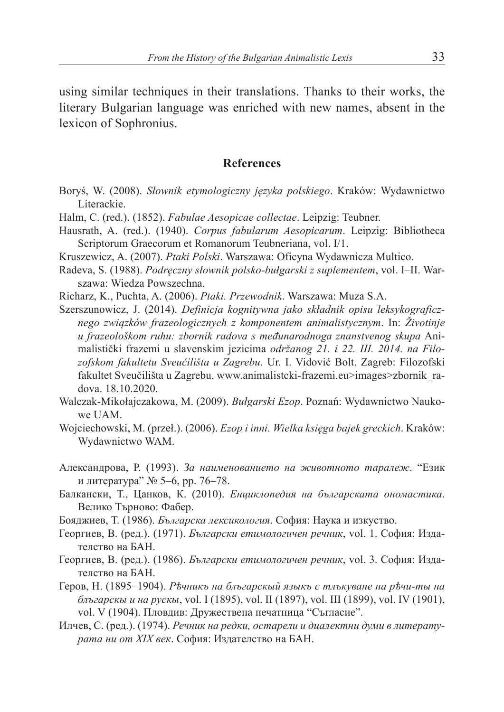using similar techniques in their translations. Thanks to their works, the literary Bulgarian language was enriched with new names, absent in the lexicon of Sophronius.

## **References**

- Boryś, W. (2008). *Słownik etymologiczny języka polskiego*. Kraków: Wydawnictwo Literackie.
- Halm, C. (red.). (1852). *Fabulae Aesopicae collectae*. Leipzig: Teubner.
- Hausrath, A. (red.). (1940). *Corpus fabularum Aesopicarum*. Leipzig: Bibliotheca Scriptorum Graecorum et Romanorum Teubneriana, vol. I/1.
- Kruszewicz, A. (2007). *Ptaki Polski*. Warszawa: Oficyna Wydawnicza Multico.
- Radeva, S. (1988). *Podręczny słownik polsko-bułgarski z suplementem*, vol. I–II. Warszawa: Wiedza Powszechna.
- Richarz, K., Puchta, A. (2006). *Ptaki. Przewodnik*. Warszawa: Muza S.A.
- Szerszunowicz, J. (2014). *Definicja kognitywna jako składnik opisu leksykograficznego związków frazeologicznych z komponentem animalistycznym*. In: *Životinje u frazeološkom ruhu: zbornik radova s međunarodnoga znanstvenog skupa* Animalistički frazemi u slavenskim jezicima *održanog 21. i 22. III. 2014. na Filozofskom fakultetu Sveučilišta u Zagrebu*. Ur. I. Vidović Bolt. Zagreb: Filozofski fakultet Sveučilišta u Zagrebu. www.animalistcki-frazemi.eu>images>zbornik\_radova. 18.10.2020.
- Walczak-Mikołajczakowa, M. (2009). *Bułgarski Ezop*. Poznań: Wydawnictwo Naukowe UAM.
- Wojciechowski, M. (przeł.). (2006). *Ezop i inni. Wielka księga bajek greckich*. Kraków: Wydawnictwo WAM.
- Александрова, Р. (1993). *За наименованието на животното таралеж*. "Език и литература" № 5–6, pp. 76–78.
- Балкански, Т., Цанков, К. (2010). *Енциклопедия на българската ономастика*. Велико Търново: Фабер.
- Бояджиев, Т. (1986). *Българска лексикология*. София: Наука и изкуство.
- Георгиев, В. (ред.). (1971). *Български етимологичен речник*, vol. 1. София: Издателство на БАН.
- Георгиев, В. (ред.). (1986). *Български етимологичен речник*, vol. 3. София: Издателство на БАН.
- Геров, Н. (1895–1904). *Рѣчникъ на блъгарскый языкъ с тлъкуване на рѣчи-ты на блъгарскы и на рускы*, vol. I (1895), vol. II (1897), vol. III (1899), vol. IV (1901), vol. V (1904). Пловдив: Дружествена печатница "Съгласие".
- Илчев, С. (ред.). (1974). *Речник на редки, остарели и диалектни думи в литературата ни от XIX век*. София: Издателство на БАН.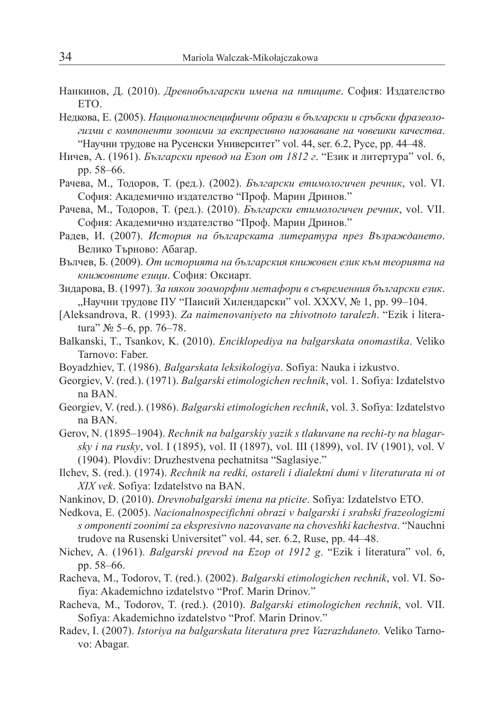- Нанкинов, Д. (2010). *Древнобългарски имена на птиците*. София: Издателство ЕТО.
- Недкова, Е. (2005). *Националноспецифични образи в български и сръбски фразеологизми с компоненти зооними за експресивно назоваване на човешки качества*. "Научни трудове на Русенски Университет" vol. 44, ser. 6.2, Русе, pp. 44–48.
- Ничев, А. (1961). *Български превод на Езоп от 1812 г*. "Език и литертура" vol. 6, pp. 58–66.
- Рачева, М., Тодоров, Т. (ред.). (2002). *Български етимологичен речник*, vol. VI. София: Академично издателство "Проф. Марин Дринов."
- Рачева, М., Тодоров, Т. (ред.). (2010). *Български етимологичен речник*, vol. VII. София: Академично издателство "Проф. Марин Дринов."
- Радев, И. (2007). *История на българската литература през Възраждането*. Велико Търново: Абагар.
- Вълчев, Б. (2009). *От историята на българския книжовен език към теорията на книжовните езици*. София: Оксиарт.
- Зидарова, В. (1997). *За някои зооморфни метафори в съвременния български език*. "Научни трудове ПУ "Паисий Хилендарски" vol. XXXV,  $N$ <sup>0</sup> 1, pp. 99–104.
- [Aleksandrova, R. (1993). *Za naimenovaniyeto na zhivotnoto taralezh*. "Ezik i literatura" № 5–6, pp. 76–78.
- Balkanski, T., Tsankov, K. (2010). *Enciklopediya na balgarskata onomastika*. Veliko Tarnovo: Faber.
- Boyadzhiev, T. (1986). *Balgarskata leksikologiya*. Sofiya: Nauka i izkustvo.
- Georgiev, V. (red.). (1971). *Balgarski etimologichen rechnik*, vol. 1. Sofiya: Izdatelstvo na BAN.
- Georgiev, V. (red.). (1986). *Balgarski etimologichen rechnik*, vol. 3. Sofiya: Izdatelstvo na BAN.
- Gerov, N. (1895–1904). *Rechnik na balgarskiy yazik s tlakuvane na rechi-ty na blagarsky i na rusky*, vol. I (1895), vol. II (1897), vol. III (1899), vol. IV (1901), vol. V (1904). Plovdiv: Druzhestvena pechatnitsa "Saglasiye."
- Ilchev, S. (red.). (1974). *Rechnik na redki, ostareli i dialektni dumi v literaturata ni ot XIX vek*. Sofiya: Izdatelstvo na BAN.
- Nankinov, D. (2010). *Drevnobalgarski imena na pticite*. Sofiya: Izdatelstvo ETO.
- Nedkova, E. (2005). *Nacionalnospecifichni obrazi v balgarski i srabski frazeologizmi s omponenti zoonimi za ekspresivno nazovavane na choveshki kachestva*. "Nauchni trudove na Rusenski Universitet" vol. 44, ser. 6.2, Ruse, pp. 44–48.
- Nichev, A. (1961). *Balgarski prevod na Ezop ot 1912 g*. "Ezik i literatura" vol. 6, pp. 58–66.
- Racheva, M., Todorov, T. (red.). (2002). *Balgarski etimologichen rechnik*, vol. VI. Sofiya: Akademichno izdatelstvo "Prof. Marin Drinov."
- Racheva, M., Todorov, T. (red.). (2010). *Balgarski etimologichen rechnik*, vol. VII. Sofiya: Akademichno izdatelstvo "Prof. Marin Drinov."
- Radev, I. (2007). *Istoriya na balgarskata literatura prez Vazrazhdaneto.* Veliko Tarnovo: Abagar.